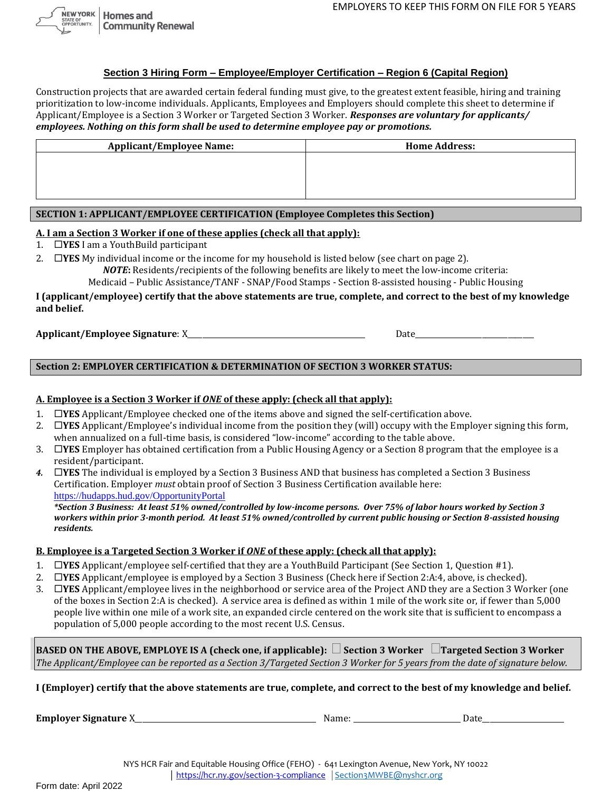# **Section 3 Hiring Form – Employee/Employer Certification – Region 6 (Capital Region)**

Construction projects that are awarded certain federal funding must give, to the greatest extent feasible, hiring and training prioritization to low-income individuals. Applicants, Employees and Employers should complete this sheet to determine if Applicant/Employee is a Section 3 Worker or Targeted Section 3 Worker. *Responses are voluntary for applicants/ employees. Nothing on this form shall be used to determine employee pay or promotions.*

| <b>Applicant/Employee Name:</b> | <b>Home Address:</b> |  |
|---------------------------------|----------------------|--|
|                                 |                      |  |
|                                 |                      |  |
|                                 |                      |  |
|                                 |                      |  |

## **SECTION 1: APPLICANT/EMPLOYEE CERTIFICATION (Employee Completes this Section)**

### **A. I am a Section 3 Worker if one of these applies (check all that apply):**

- 1. **YES** I am a YouthBuild participant
- 2. **IYES** My individual income or the income for my household is listed below (see chart on page 2). *NOTE***:** Residents/recipients of the following benefits are likely to meet the low-income criteria:

Medicaid – Public Assistance/TANF - SNAP/Food Stamps - Section 8-assisted housing - Public Housing

**I (applicant/employee) certify that the above statements are true, complete, and correct to the best of my knowledge and belief.** 

**Applicant/Employee Signature**: X\_\_\_\_\_\_\_\_\_\_\_\_\_\_\_\_\_\_\_\_\_\_\_\_\_\_\_\_\_\_\_\_\_\_\_\_\_\_\_\_\_\_\_\_\_\_\_\_ Date\_\_\_\_\_\_\_\_\_\_\_\_\_\_\_\_\_\_\_\_\_\_\_\_\_\_\_\_\_\_\_\_

**Section 2: EMPLOYER CERTIFICATION & DETERMINATION OF SECTION 3 WORKER STATUS:**

## **A. Employee is a Section 3 Worker if** *ONE* **of these apply: (check all that apply):**

- 1. **YES** Applicant/Employee checked one of the items above and signed the self-certification above.
- 2. **YES** Applicant/Employee's individual income from the position they (will) occupy with the Employer signing this form, when annualized on a full-time basis, is considered "low-income" according to the table above.
- 3. **YES** Employer has obtained certification from a Public Housing Agency or a Section 8 program that the employee is a resident/participant.
- *4.* **YES** The individual is employed by a Section 3 Business AND that business has completed a Section 3 Business Certification. Employer *must* obtain proof of Section 3 Business Certification available here: [https://hudapps.hud.gov/OpportunityPortal](https://hudapps.hud.gov/OpportunityPortal/)

*\*Section 3 Business: At least 51% owned/controlled by low-income persons. Over 75% of labor hours worked by Section 3 workers within prior 3-month period. At least 51% owned/controlled by current public housing or Section 8-assisted housing residents.*

### **B. Employee is a Targeted Section 3 Worker if** *ONE* **of these apply: (check all that apply):**

- 1. **YES** Applicant/employee self-certified that they are a YouthBuild Participant (See Section 1, Question #1).
- 2. **YES** Applicant/employee is employed by a Section 3 Business (Check here if Section 2:A:4, above, is checked).
- 3. **YES** Applicant/employee lives in the neighborhood or service area of the Project AND they are a Section 3 Worker (one of the boxes in Section 2:A is checked). A service area is defined as within 1 mile of the work site or, if fewer than 5,000 people live within one mile of a work site, an expanded circle centered on the work site that is sufficient to encompass a

population of 5,000 people according to the most recent U.S. Census.

| BASED ON THE ABOVE, EMPLOYE IS A (check one, if applicable): $\Box$ Section 3 Worker $\Box$ Targeted Section 3 Worker         |
|-------------------------------------------------------------------------------------------------------------------------------|
| The Applicant/Employee can be reported as a Section 3/Targeted Section 3 Worker for 5 years from the date of signature below. |

**I (Employer) certify that the above statements are true, complete, and correct to the best of my knowledge and belief.** 

**Employer Signature** X\_\_\_\_\_\_\_\_\_\_\_\_\_\_\_\_\_\_\_\_\_\_\_\_\_\_\_\_\_\_\_\_\_\_\_\_\_\_\_\_\_\_\_\_\_\_\_\_\_ Name: \_\_\_\_\_\_\_\_\_\_\_\_\_\_\_\_\_\_\_\_\_\_\_\_\_\_\_\_\_ Date\_\_\_\_\_\_\_\_\_\_\_\_\_\_\_\_\_\_\_\_\_\_